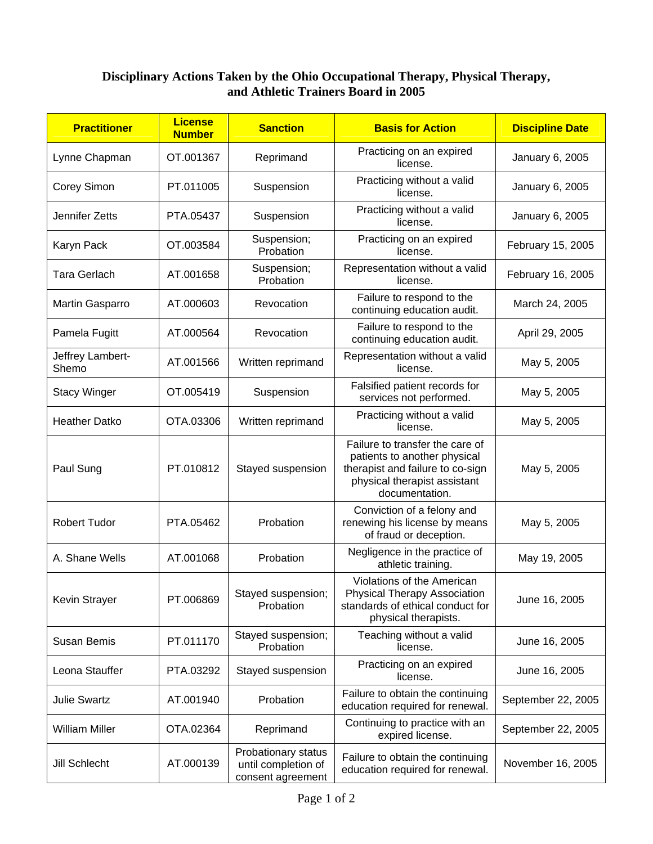## **Disciplinary Actions Taken by the Ohio Occupational Therapy, Physical Therapy, and Athletic Trainers Board in 2005**

| <b>Practitioner</b>       | <b>License</b><br><b>Number</b> | <b>Sanction</b>                                                 | <b>Basis for Action</b>                                                                                                                               | <b>Discipline Date</b> |
|---------------------------|---------------------------------|-----------------------------------------------------------------|-------------------------------------------------------------------------------------------------------------------------------------------------------|------------------------|
| Lynne Chapman             | OT.001367                       | Reprimand                                                       | Practicing on an expired<br>license.                                                                                                                  | January 6, 2005        |
| Corey Simon               | PT.011005                       | Suspension                                                      | Practicing without a valid<br>license.                                                                                                                | January 6, 2005        |
| Jennifer Zetts            | PTA.05437                       | Suspension                                                      | Practicing without a valid<br>license.                                                                                                                | January 6, 2005        |
| Karyn Pack                | OT.003584                       | Suspension;<br>Probation                                        | Practicing on an expired<br>license.                                                                                                                  | February 15, 2005      |
| <b>Tara Gerlach</b>       | AT.001658                       | Suspension;<br>Probation                                        | Representation without a valid<br>license.                                                                                                            | February 16, 2005      |
| Martin Gasparro           | AT.000603                       | Revocation                                                      | Failure to respond to the<br>continuing education audit.                                                                                              | March 24, 2005         |
| Pamela Fugitt             | AT.000564                       | Revocation                                                      | Failure to respond to the<br>continuing education audit.                                                                                              | April 29, 2005         |
| Jeffrey Lambert-<br>Shemo | AT.001566                       | Written reprimand                                               | Representation without a valid<br>license.                                                                                                            | May 5, 2005            |
| <b>Stacy Winger</b>       | OT.005419                       | Suspension                                                      | Falsified patient records for<br>services not performed.                                                                                              | May 5, 2005            |
| <b>Heather Datko</b>      | OTA.03306                       | Written reprimand                                               | Practicing without a valid<br>license.                                                                                                                | May 5, 2005            |
| Paul Sung                 | PT.010812                       | Stayed suspension                                               | Failure to transfer the care of<br>patients to another physical<br>therapist and failure to co-sign<br>physical therapist assistant<br>documentation. | May 5, 2005            |
| <b>Robert Tudor</b>       | PTA.05462                       | Probation                                                       | Conviction of a felony and<br>renewing his license by means<br>of fraud or deception.                                                                 | May 5, 2005            |
| A. Shane Wells            | AT.001068                       | Probation                                                       | Negligence in the practice of<br>athletic training.                                                                                                   | May 19, 2005           |
| Kevin Strayer             | PT.006869                       | Stayed suspension;<br>Probation                                 | Violations of the American<br><b>Physical Therapy Association</b><br>standards of ethical conduct for<br>physical therapists.                         | June 16, 2005          |
| <b>Susan Bemis</b>        | PT.011170                       | Stayed suspension;<br>Probation                                 | Teaching without a valid<br>license.                                                                                                                  | June 16, 2005          |
| Leona Stauffer            | PTA.03292                       | Stayed suspension                                               | Practicing on an expired<br>license.                                                                                                                  | June 16, 2005          |
| <b>Julie Swartz</b>       | AT.001940                       | Probation                                                       | Failure to obtain the continuing<br>education required for renewal.                                                                                   | September 22, 2005     |
| <b>William Miller</b>     | OTA.02364                       | Reprimand                                                       | Continuing to practice with an<br>expired license.                                                                                                    | September 22, 2005     |
| Jill Schlecht             | AT.000139                       | Probationary status<br>until completion of<br>consent agreement | Failure to obtain the continuing<br>education required for renewal.                                                                                   | November 16, 2005      |